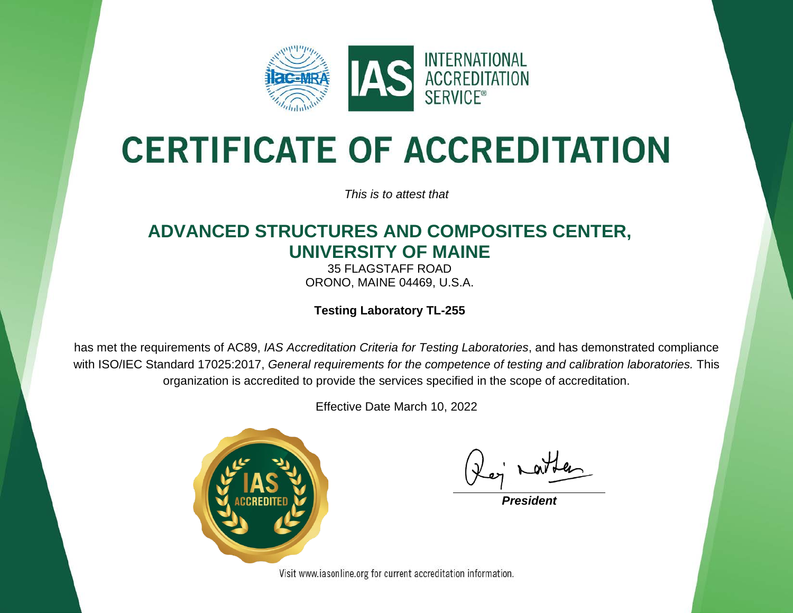

# **CERTIFICATE OF ACCREDITATION**

*This is to attest that*

#### **ADVANCED STRUCTURES AND COMPOSITES CENTER, UNIVERSITY OF MAINE**

35 FLAGSTAFF ROAD ORONO, MAINE 04469, U.S.A.

**Testing Laboratory TL-255**

has met the requirements of AC89, *IAS Accreditation Criteria for Testing Laboratories*, and has demonstrated compliance with ISO/IEC Standard 17025:2017, *General requirements for the competence of testing and calibration laboratories.* This organization is accredited to provide the services specified in the scope of accreditation.

Effective Date March 10, 2022



*President*

Visit www.iasonline.org for current accreditation information.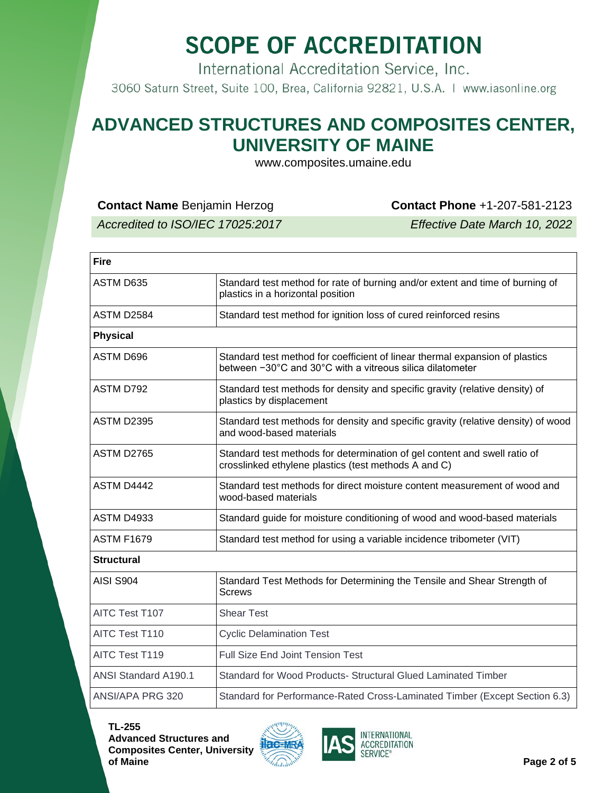International Accreditation Service, Inc.

3060 Saturn Street, Suite 100, Brea, California 92821, U.S.A. | www.iasonline.org

#### **ADVANCED STRUCTURES AND COMPOSITES CENTER, UNIVERSITY OF MAINE**

www.composites.umaine.edu

**Contact Name** Benjamin Herzog **Contact Phone** +1-207-581-2123

*Accredited to ISO/IEC 17025:2017 Effective Date March 10, 2022*

| <b>Fire</b>                                                                                                                               |  |  |
|-------------------------------------------------------------------------------------------------------------------------------------------|--|--|
| Standard test method for rate of burning and/or extent and time of burning of<br>plastics in a horizontal position                        |  |  |
| Standard test method for ignition loss of cured reinforced resins                                                                         |  |  |
|                                                                                                                                           |  |  |
| Standard test method for coefficient of linear thermal expansion of plastics<br>between -30°C and 30°C with a vitreous silica dilatometer |  |  |
| Standard test methods for density and specific gravity (relative density) of<br>plastics by displacement                                  |  |  |
| Standard test methods for density and specific gravity (relative density) of wood<br>and wood-based materials                             |  |  |
| Standard test methods for determination of gel content and swell ratio of<br>crosslinked ethylene plastics (test methods A and C)         |  |  |
| Standard test methods for direct moisture content measurement of wood and<br>wood-based materials                                         |  |  |
| Standard guide for moisture conditioning of wood and wood-based materials                                                                 |  |  |
| Standard test method for using a variable incidence tribometer (VIT)                                                                      |  |  |
|                                                                                                                                           |  |  |
| Standard Test Methods for Determining the Tensile and Shear Strength of<br><b>Screws</b>                                                  |  |  |
| <b>Shear Test</b>                                                                                                                         |  |  |
| <b>Cyclic Delamination Test</b>                                                                                                           |  |  |
| <b>Full Size End Joint Tension Test</b>                                                                                                   |  |  |
| Standard for Wood Products- Structural Glued Laminated Timber                                                                             |  |  |
| Standard for Performance-Rated Cross-Laminated Timber (Except Section 6.3)                                                                |  |  |
|                                                                                                                                           |  |  |

**TL-255 Advanced Structures and Composites Center, University** 



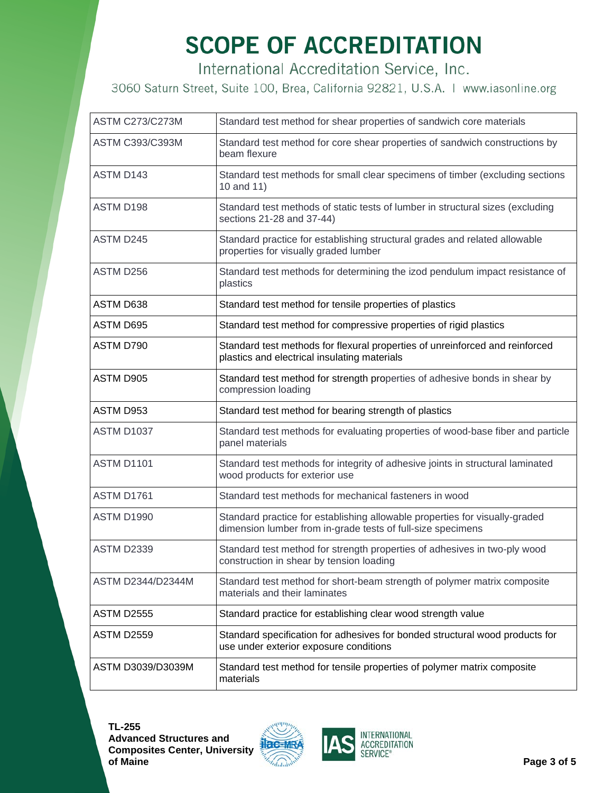International Accreditation Service, Inc.

3060 Saturn Street, Suite 100, Brea, California 92821, U.S.A. | www.iasonline.org

| <b>ASTM C273/C273M</b> | Standard test method for shear properties of sandwich core materials                                                                       |
|------------------------|--------------------------------------------------------------------------------------------------------------------------------------------|
| <b>ASTM C393/C393M</b> | Standard test method for core shear properties of sandwich constructions by<br>beam flexure                                                |
| ASTM D143              | Standard test methods for small clear specimens of timber (excluding sections<br>10 and 11)                                                |
| ASTM D198              | Standard test methods of static tests of lumber in structural sizes (excluding<br>sections 21-28 and 37-44)                                |
| ASTM D245              | Standard practice for establishing structural grades and related allowable<br>properties for visually graded lumber                        |
| ASTM D256              | Standard test methods for determining the izod pendulum impact resistance of<br>plastics                                                   |
| ASTM D638              | Standard test method for tensile properties of plastics                                                                                    |
| ASTM D695              | Standard test method for compressive properties of rigid plastics                                                                          |
| ASTM D790              | Standard test methods for flexural properties of unreinforced and reinforced<br>plastics and electrical insulating materials               |
| ASTM D905              | Standard test method for strength properties of adhesive bonds in shear by<br>compression loading                                          |
| ASTM D953              | Standard test method for bearing strength of plastics                                                                                      |
| ASTM D1037             | Standard test methods for evaluating properties of wood-base fiber and particle<br>panel materials                                         |
| <b>ASTM D1101</b>      | Standard test methods for integrity of adhesive joints in structural laminated<br>wood products for exterior use                           |
| ASTM D1761             | Standard test methods for mechanical fasteners in wood                                                                                     |
| ASTM D1990             | Standard practice for establishing allowable properties for visually-graded<br>dimension lumber from in-grade tests of full-size specimens |
| <b>ASTM D2339</b>      | Standard test method for strength properties of adhesives in two-ply wood<br>construction in shear by tension loading                      |
| ASTM D2344/D2344M      | Standard test method for short-beam strength of polymer matrix composite<br>materials and their laminates                                  |
| <b>ASTM D2555</b>      | Standard practice for establishing clear wood strength value                                                                               |
| <b>ASTM D2559</b>      | Standard specification for adhesives for bonded structural wood products for<br>use under exterior exposure conditions                     |
| ASTM D3039/D3039M      | Standard test method for tensile properties of polymer matrix composite<br>materials                                                       |



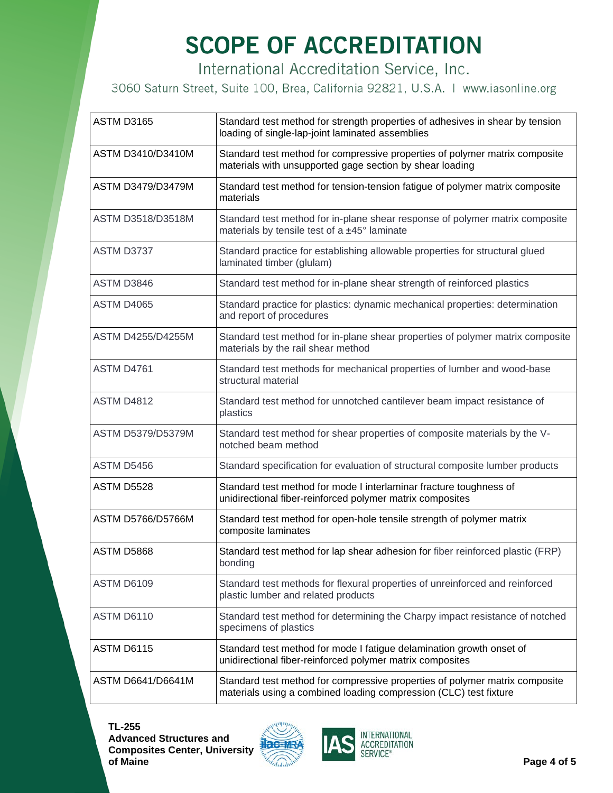International Accreditation Service, Inc.

3060 Saturn Street, Suite 100, Brea, California 92821, U.S.A. | www.iasonline.org

| <b>ASTM D3165</b>        | Standard test method for strength properties of adhesives in shear by tension<br>loading of single-lap-joint laminated assemblies                |
|--------------------------|--------------------------------------------------------------------------------------------------------------------------------------------------|
| ASTM D3410/D3410M        | Standard test method for compressive properties of polymer matrix composite<br>materials with unsupported gage section by shear loading          |
| <b>ASTM D3479/D3479M</b> | Standard test method for tension-tension fatigue of polymer matrix composite<br>materials                                                        |
| ASTM D3518/D3518M        | Standard test method for in-plane shear response of polymer matrix composite<br>materials by tensile test of a ±45° laminate                     |
| ASTM D3737               | Standard practice for establishing allowable properties for structural glued<br>laminated timber (glulam)                                        |
| ASTM D3846               | Standard test method for in-plane shear strength of reinforced plastics                                                                          |
| <b>ASTM D4065</b>        | Standard practice for plastics: dynamic mechanical properties: determination<br>and report of procedures                                         |
| <b>ASTM D4255/D4255M</b> | Standard test method for in-plane shear properties of polymer matrix composite<br>materials by the rail shear method                             |
| <b>ASTM D4761</b>        | Standard test methods for mechanical properties of lumber and wood-base<br>structural material                                                   |
| <b>ASTM D4812</b>        | Standard test method for unnotched cantilever beam impact resistance of<br>plastics                                                              |
| <b>ASTM D5379/D5379M</b> | Standard test method for shear properties of composite materials by the V-<br>notched beam method                                                |
| ASTM D5456               | Standard specification for evaluation of structural composite lumber products                                                                    |
| <b>ASTM D5528</b>        | Standard test method for mode I interlaminar fracture toughness of<br>unidirectional fiber-reinforced polymer matrix composites                  |
| ASTM D5766/D5766M        | Standard test method for open-hole tensile strength of polymer matrix<br>composite laminates                                                     |
| ASTM D5868               | Standard test method for lap shear adhesion for fiber reinforced plastic (FRP)<br>bonding                                                        |
| <b>ASTM D6109</b>        | Standard test methods for flexural properties of unreinforced and reinforced<br>plastic lumber and related products                              |
| <b>ASTM D6110</b>        | Standard test method for determining the Charpy impact resistance of notched<br>specimens of plastics                                            |
| ASTM D6115               | Standard test method for mode I fatigue delamination growth onset of<br>unidirectional fiber-reinforced polymer matrix composites                |
| ASTM D6641/D6641M        | Standard test method for compressive properties of polymer matrix composite<br>materials using a combined loading compression (CLC) test fixture |